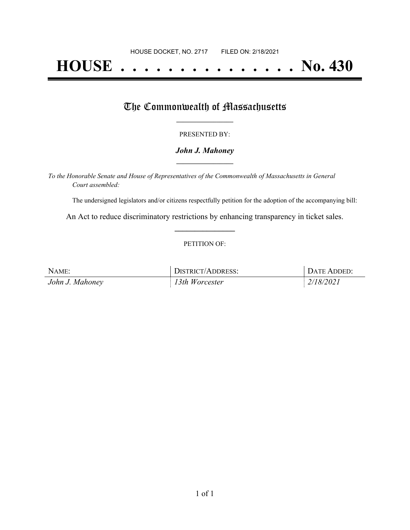# **HOUSE . . . . . . . . . . . . . . . No. 430**

## The Commonwealth of Massachusetts

#### PRESENTED BY:

#### *John J. Mahoney* **\_\_\_\_\_\_\_\_\_\_\_\_\_\_\_\_\_**

*To the Honorable Senate and House of Representatives of the Commonwealth of Massachusetts in General Court assembled:*

The undersigned legislators and/or citizens respectfully petition for the adoption of the accompanying bill:

An Act to reduce discriminatory restrictions by enhancing transparency in ticket sales. **\_\_\_\_\_\_\_\_\_\_\_\_\_\_\_**

#### PETITION OF:

| NAME:           | DISTRICT/ADDRESS: | DATE ADDED: |
|-----------------|-------------------|-------------|
| John J. Mahoney | 13th Worcester    | 2/18/2021   |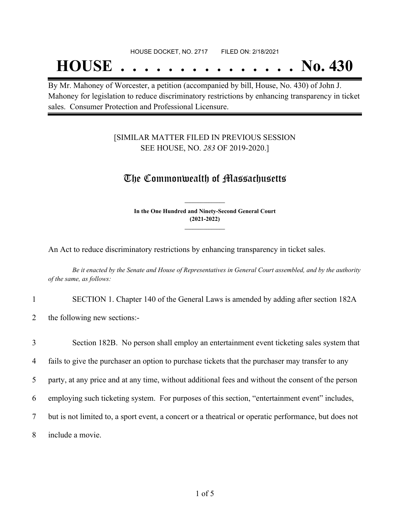## **HOUSE . . . . . . . . . . . . . . . No. 430**

By Mr. Mahoney of Worcester, a petition (accompanied by bill, House, No. 430) of John J. Mahoney for legislation to reduce discriminatory restrictions by enhancing transparency in ticket sales. Consumer Protection and Professional Licensure.

#### [SIMILAR MATTER FILED IN PREVIOUS SESSION SEE HOUSE, NO. *283* OF 2019-2020.]

### The Commonwealth of Massachusetts

**In the One Hundred and Ninety-Second General Court (2021-2022) \_\_\_\_\_\_\_\_\_\_\_\_\_\_\_**

**\_\_\_\_\_\_\_\_\_\_\_\_\_\_\_**

An Act to reduce discriminatory restrictions by enhancing transparency in ticket sales.

Be it enacted by the Senate and House of Representatives in General Court assembled, and by the authority *of the same, as follows:*

1 SECTION 1. Chapter 140 of the General Laws is amended by adding after section 182A

2 the following new sections:-

 Section 182B. No person shall employ an entertainment event ticketing sales system that fails to give the purchaser an option to purchase tickets that the purchaser may transfer to any party, at any price and at any time, without additional fees and without the consent of the person employing such ticketing system. For purposes of this section, "entertainment event" includes, but is not limited to, a sport event, a concert or a theatrical or operatic performance, but does not include a movie.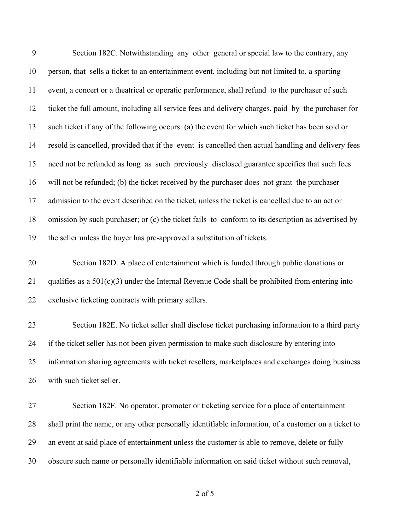| 9  | Section 182C. Notwithstanding any other general or special law to the contrary, any                  |
|----|------------------------------------------------------------------------------------------------------|
| 10 | person, that sells a ticket to an entertainment event, including but not limited to, a sporting      |
| 11 | event, a concert or a theatrical or operatic performance, shall refund to the purchaser of such      |
| 12 | ticket the full amount, including all service fees and delivery charges, paid by the purchaser for   |
| 13 | such ticket if any of the following occurs: (a) the event for which such ticket has been sold or     |
| 14 | resold is cancelled, provided that if the event is cancelled then actual handling and delivery fees  |
| 15 | need not be refunded as long as such previously disclosed guarantee specifies that such fees         |
| 16 | will not be refunded; (b) the ticket received by the purchaser does not grant the purchaser          |
| 17 | admission to the event described on the ticket, unless the ticket is cancelled due to an act or      |
| 18 | omission by such purchaser; or (c) the ticket fails to conform to its description as advertised by   |
| 19 | the seller unless the buyer has pre-approved a substitution of tickets.                              |
| 20 | Section 182D. A place of entertainment which is funded through public donations or                   |
| 21 | qualifies as a $501(c)(3)$ under the Internal Revenue Code shall be prohibited from entering into    |
| 22 | exclusive ticketing contracts with primary sellers.                                                  |
| 23 | Section 182E. No ticket seller shall disclose ticket purchasing information to a third party         |
| 24 | if the ticket seller has not been given permission to make such disclosure by entering into          |
| 25 | information sharing agreements with ticket resellers, marketplaces and exchanges doing business      |
| 26 | with such ticket seller.                                                                             |
| 27 | Section 182F. No operator, promoter or ticketing service for a place of entertainment                |
| 28 | shall print the name, or any other personally identifiable information, of a customer on a ticket to |
| 29 | an event at said place of entertainment unless the customer is able to remove, delete or fully       |
| 30 | obscure such name or personally identifiable information on said ticket without such removal,        |

of 5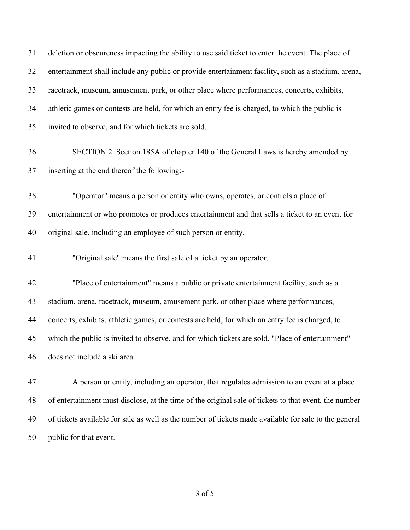| 31 | deletion or obscureness impacting the ability to use said ticket to enter the event. The place of     |
|----|-------------------------------------------------------------------------------------------------------|
| 32 | entertainment shall include any public or provide entertainment facility, such as a stadium, arena,   |
| 33 | racetrack, museum, amusement park, or other place where performances, concerts, exhibits,             |
| 34 | athletic games or contests are held, for which an entry fee is charged, to which the public is        |
| 35 | invited to observe, and for which tickets are sold.                                                   |
| 36 | SECTION 2. Section 185A of chapter 140 of the General Laws is hereby amended by                       |
| 37 | inserting at the end thereof the following:-                                                          |
| 38 | "Operator" means a person or entity who owns, operates, or controls a place of                        |
| 39 | entertainment or who promotes or produces entertainment and that sells a ticket to an event for       |
| 40 | original sale, including an employee of such person or entity.                                        |
| 41 | "Original sale" means the first sale of a ticket by an operator.                                      |
| 42 | "Place of entertainment" means a public or private entertainment facility, such as a                  |
| 43 | stadium, arena, racetrack, museum, amusement park, or other place where performances,                 |
| 44 | concerts, exhibits, athletic games, or contests are held, for which an entry fee is charged, to       |
| 45 | which the public is invited to observe, and for which tickets are sold. "Place of entertainment"      |
| 46 | does not include a ski area.                                                                          |
| 47 | A person or entity, including an operator, that regulates admission to an event at a place            |
| 48 | of entertainment must disclose, at the time of the original sale of tickets to that event, the number |
| 49 | of tickets available for sale as well as the number of tickets made available for sale to the general |
| 50 | public for that event.                                                                                |

of 5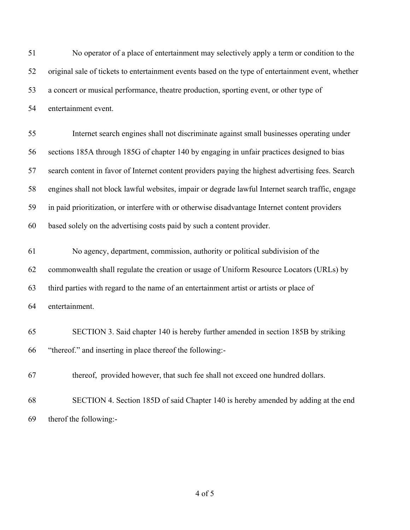No operator of a place of entertainment may selectively apply a term or condition to the original sale of tickets to entertainment events based on the type of entertainment event, whether a concert or musical performance, theatre production, sporting event, or other type of entertainment event.

 Internet search engines shall not discriminate against small businesses operating under sections 185A through 185G of chapter 140 by engaging in unfair practices designed to bias search content in favor of Internet content providers paying the highest advertising fees. Search engines shall not block lawful websites, impair or degrade lawful Internet search traffic, engage in paid prioritization, or interfere with or otherwise disadvantage Internet content providers based solely on the advertising costs paid by such a content provider.

 No agency, department, commission, authority or political subdivision of the commonwealth shall regulate the creation or usage of Uniform Resource Locators (URLs) by third parties with regard to the name of an entertainment artist or artists or place of entertainment.

- SECTION 3. Said chapter 140 is hereby further amended in section 185B by striking "thereof." and inserting in place thereof the following:-
- thereof, provided however, that such fee shall not exceed one hundred dollars.
- SECTION 4. Section 185D of said Chapter 140 is hereby amended by adding at the end therof the following:-

of 5